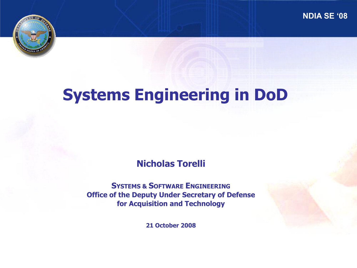**NDIA SE '08**



# **Systems Engineering in DoD**

**Nicholas Torelli**

**SYSTEMS & SOFTWARE ENGINEERING Office of the Deputy Under Secretary of Defense for Acquisition and Technology**

**21 October 2008**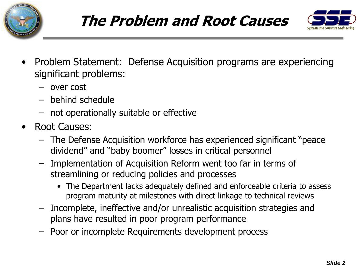





- Problem Statement: Defense Acquisition programs are experiencing significant problems:
	- over cost
	- behind schedule
	- not operationally suitable or effective
- Root Causes:
	- The Defense Acquisition workforce has experienced significant "peace dividend" and "baby boomer" losses in critical personnel
	- Implementation of Acquisition Reform went too far in terms of streamlining or reducing policies and processes
		- The Department lacks adequately defined and enforceable criteria to assess program maturity at milestones with direct linkage to technical reviews
	- Incomplete, ineffective and/or unrealistic acquisition strategies and plans have resulted in poor program performance
	- Poor or incomplete Requirements development process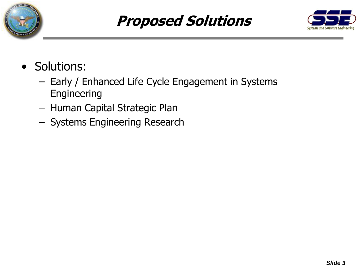

### **Proposed Solutions**



- Solutions:
	- Early / Enhanced Life Cycle Engagement in Systems Engineering
	- Human Capital Strategic Plan
	- Systems Engineering Research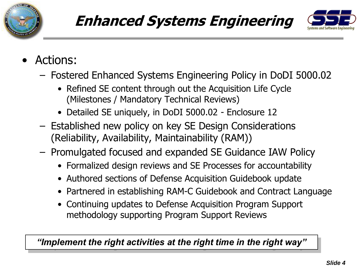

## **Enhanced Systems Engineering**



- Actions:
	- Fostered Enhanced Systems Engineering Policy in DoDI 5000.02
		- Refined SE content through out the Acquisition Life Cycle (Milestones / Mandatory Technical Reviews)
		- Detailed SE uniquely, in DoDI 5000.02 Enclosure 12
	- Established new policy on key SE Design Considerations (Reliability, Availability, Maintainability (RAM))
	- Promulgated focused and expanded SE Guidance IAW Policy
		- Formalized design reviews and SE Processes for accountability
		- Authored sections of Defense Acquisition Guidebook update
		- Partnered in establishing RAM-C Guidebook and Contract Language
		- Continuing updates to Defense Acquisition Program Support methodology supporting Program Support Reviews

*"Implement the right activities at the right time in the right way"*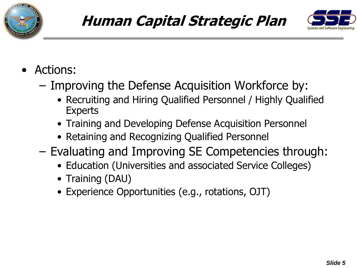



- Actions:
	- Improving the Defense Acquisition Workforce by:
		- Recruiting and Hiring Qualified Personnel / Highly Qualified Experts
		- Training and Developing Defense Acquisition Personnel
		- Retaining and Recognizing Qualified Personnel
	- Evaluating and Improving SE Competencies through:
		- Education (Universities and associated Service Colleges)
		- Training (DAU)
		- Experience Opportunities (e.g., rotations, OJT)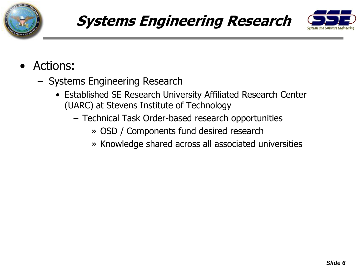

### **Systems Engineering Research**



- Actions:
	- Systems Engineering Research
		- Established SE Research University Affiliated Research Center (UARC) at Stevens Institute of Technology
			- Technical Task Order-based research opportunities
				- » OSD / Components fund desired research
				- » Knowledge shared across all associated universities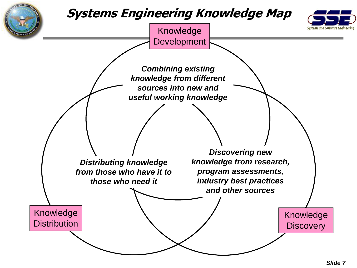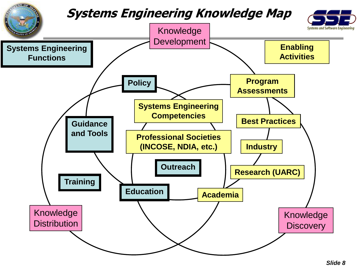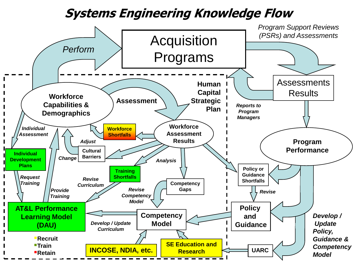#### **Systems Engineering Knowledge Flow**

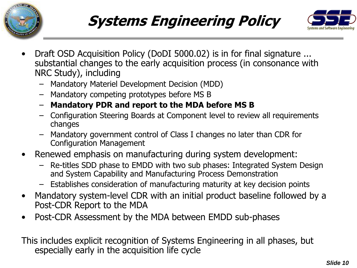





- Draft OSD Acquisition Policy (DoDI 5000.02) is in for final signature ... substantial changes to the early acquisition process (in consonance with NRC Study), including
	- Mandatory Materiel Development Decision (MDD)
	- Mandatory competing prototypes before MS B
	- **Mandatory PDR and report to the MDA before MS B**
	- Configuration Steering Boards at Component level to review all requirements changes
	- Mandatory government control of Class I changes no later than CDR for Configuration Management
- Renewed emphasis on manufacturing during system development:
	- Re-titles SDD phase to EMDD with two sub phases: Integrated System Design and System Capability and Manufacturing Process Demonstration
	- Establishes consideration of manufacturing maturity at key decision points
- Mandatory system-level CDR with an initial product baseline followed by a Post-CDR Report to the MDA
- Post-CDR Assessment by the MDA between EMDD sub-phases

This includes explicit recognition of Systems Engineering in all phases, but especially early in the acquisition life cycle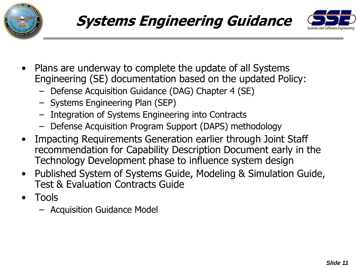





- Plans are underway to complete the update of all Systems Engineering (SE) documentation based on the updated Policy:
	- Defense Acquisition Guidance (DAG) Chapter 4 (SE)
	- Systems Engineering Plan (SEP)
	- Integration of Systems Engineering into Contracts
	- Defense Acquisition Program Support (DAPS) methodology
- Impacting Requirements Generation earlier through Joint Staff recommendation for Capability Description Document early in the Technology Development phase to influence system design
- Published System of Systems Guide, Modeling & Simulation Guide, Test & Evaluation Contracts Guide
- Tools
	- Acquisition Guidance Model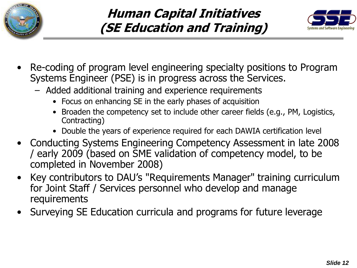



- Re-coding of program level engineering specialty positions to Program Systems Engineer (PSE) is in progress across the Services.
	- Added additional training and experience requirements
		- Focus on enhancing SE in the early phases of acquisition
		- Broaden the competency set to include other career fields (e.g., PM, Logistics, Contracting)
		- Double the years of experience required for each DAWIA certification level
- Conducting Systems Engineering Competency Assessment in late 2008 / early 2009 (based on SME validation of competency model, to be completed in November 2008)
- Key contributors to DAU's "Requirements Manager" training curriculum for Joint Staff / Services personnel who develop and manage requirements
- Surveying SE Education curricula and programs for future leverage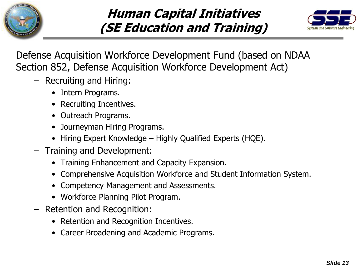

### **Human Capital Initiatives (SE Education and Training)**



Defense Acquisition Workforce Development Fund (based on NDAA Section 852, Defense Acquisition Workforce Development Act)

- Recruiting and Hiring:
	- Intern Programs.
	- Recruiting Incentives.
	- Outreach Programs.
	- Journeyman Hiring Programs.
	- Hiring Expert Knowledge Highly Qualified Experts (HQE).
- Training and Development:
	- Training Enhancement and Capacity Expansion.
	- Comprehensive Acquisition Workforce and Student Information System.
	- Competency Management and Assessments.
	- Workforce Planning Pilot Program.
- Retention and Recognition:
	- Retention and Recognition Incentives.
	- Career Broadening and Academic Programs.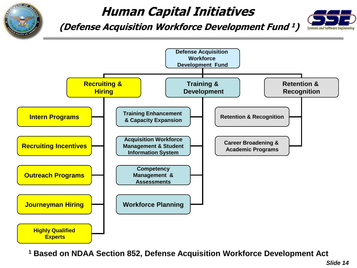

### **Human Capital Initiatives**

**(Defense Acquisition Workforce Development Fund <sup>1</sup>)**





**<sup>1</sup> Based on NDAA Section 852, Defense Acquisition Workforce Development Act**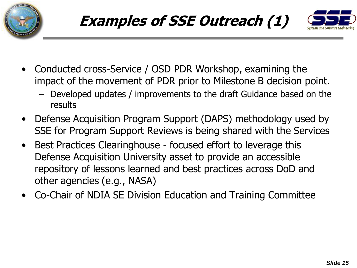



- Conducted cross-Service / OSD PDR Workshop, examining the impact of the movement of PDR prior to Milestone B decision point.
	- Developed updates / improvements to the draft Guidance based on the results
- Defense Acquisition Program Support (DAPS) methodology used by SSE for Program Support Reviews is being shared with the Services
- Best Practices Clearinghouse focused effort to leverage this Defense Acquisition University asset to provide an accessible repository of lessons learned and best practices across DoD and other agencies (e.g., NASA)
- Co-Chair of NDIA SE Division Education and Training Committee